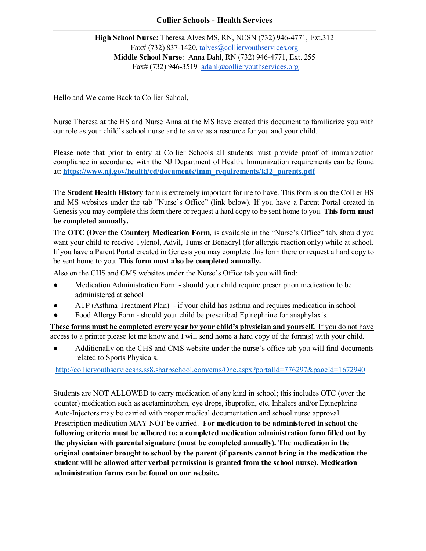## **Collier Schools - Health Services**

## **High School Nurse:** Theresa Alves MS, RN, NCSN (732) 946-4771, Ext.312 Fax# (732) 837-1420, [talves@collieryouthservices.org](mailto:talves@collieryouthservices.org) **Middle School Nurse**: Anna Dahl, RN (732) 946-4771, Ext. 255 Fax# (732) 946-3519 [adahl@collieryouthservices.org](mailto:adahl@collieryouthservices.org)

Hello and Welcome Back to Collier School,

Nurse Theresa at the HS and Nurse Anna at the MS have created this document to familiarize you with our role as your child's school nurse and to serve as a resource for you and your child.

Please note that prior to entry at Collier Schools all students must provide proof of immunization compliance in accordance with the NJ Department of Health. Immunization requirements can be found at: **[https://www.nj.gov/health/cd/documents/imm\\_requirements/k12\\_parents.pdf](https://www.nj.gov/health/cd/documents/imm_requirements/k12_parents.pdf)**

The **Student Health History** form is extremely important for me to have. This form is on the Collier HS and MS websites under the tab "Nurse's Office" (link below). If you have a Parent Portal created in Genesis you may complete this form there or request a hard copy to be sent home to you. **This form must be completed annually.**

The **OTC (Over the Counter) Medication Form**, is available in the "Nurse's Office" tab, should you want your child to receive Tylenol, Advil, Tums or Benadryl (for allergic reaction only) while at school. If you have a Parent Portal created in Genesis you may complete this form there or request a hard copy to be sent home to you. **This form must also be completed annually.**

Also on the CHS and CMS websites under the Nurse's Office tab you will find:

- Medication Administration Form should your child require prescription medication to be administered at school
- ATP (Asthma Treatment Plan) if your child has asthma and requires medication in school
- Food Allergy Form should your child be prescribed Epinephrine for anaphylaxis.

**These forms must be completed every year by your child's physician and yourself.** If you do not have access to a printer please let me know and I will send home a hard copy of the form(s) with your child.

Additionally on the CHS and CMS website under the nurse's office tab you will find documents related to Sports Physicals.

<http://collieryouthserviceshs.ss8.sharpschool.com/cms/One.aspx?portalId=776297&pageId=1672940>

Students are NOT ALLOWED to carry medication of any kind in school; this includes OTC (over the counter) medication such as acetaminophen, eye drops, ibuprofen, etc. Inhalers and/or Epinephrine Auto-Injectors may be carried with proper medical documentation and school nurse approval. Prescription medication MAY NOT be carried. **For medication to be administered in school the following criteria must be adhered to: a completed medication administration form filled out by the physician with parental signature (must be completed annually). The medication in the original container brought to school by the parent (if parents cannot bring in the medication the student will be allowed after verbal permission is granted from the school nurse). Medication administration forms can be found on our website.**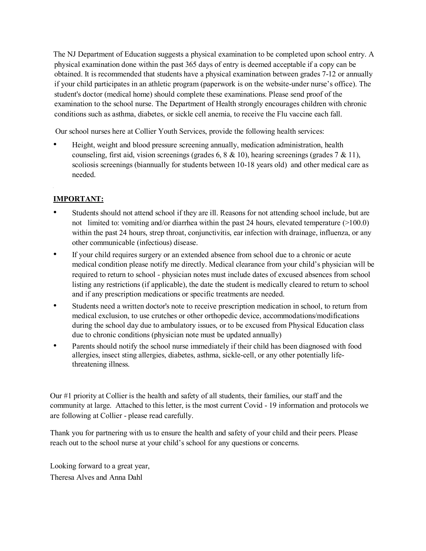The NJ Department of Education suggests a physical examination to be completed upon school entry. A physical examination done within the past 365 days of entry is deemed acceptable if a copy can be obtained. It is recommended that students have a physical examination between grades 7-12 or annually if your child participates in an athletic program (paperwork is on the website-under nurse's office). The student's doctor (medical home) should complete these examinations. Please send proof of the examination to the school nurse. The Department of Health strongly encourages children with chronic conditions such as asthma, diabetes, or sickle cell anemia, to receive the Flu vaccine each fall.

Our school nurses here at Collier Youth Services, provide the following health services:

• Height, weight and blood pressure screening annually, medication administration, health counseling, first aid, vision screenings (grades 6, 8 & 10), hearing screenings (grades 7 & 11), scoliosis screenings (biannually for students between 10-18 years old) and other medical care as needed.

## **IMPORTANT:**

- Students should not attend school if they are ill. Reasons for not attending school include, but are not limited to: vomiting and/or diarrhea within the past 24 hours, elevated temperature  $(>100.0)$ within the past 24 hours, strep throat, conjunctivitis, ear infection with drainage, influenza, or any other communicable (infectious) disease.
- If your child requires surgery or an extended absence from school due to a chronic or acute medical condition please notify me directly. Medical clearance from your child's physician will be required to return to school - physician notes must include dates of excused absences from school listing any restrictions (if applicable), the date the student is medically cleared to return to school and if any prescription medications or specific treatments are needed.
- Students need a written doctor's note to receive prescription medication in school, to return from medical exclusion, to use crutches or other orthopedic device, accommodations/modifications during the school day due to ambulatory issues, or to be excused from Physical Education class due to chronic conditions (physician note must be updated annually)
- Parents should notify the school nurse immediately if their child has been diagnosed with food allergies, insect sting allergies, diabetes, asthma, sickle-cell, or any other potentially lifethreatening illness.

Our #1 priority at Collier is the health and safety of all students, their families, our staff and the community at large. Attached to this letter, is the most current Covid - 19 information and protocols we are following at Collier - please read carefully.

Thank you for partnering with us to ensure the health and safety of your child and their peers. Please reach out to the school nurse at your child's school for any questions or concerns.

Looking forward to a great year, Theresa Alves and Anna Dahl